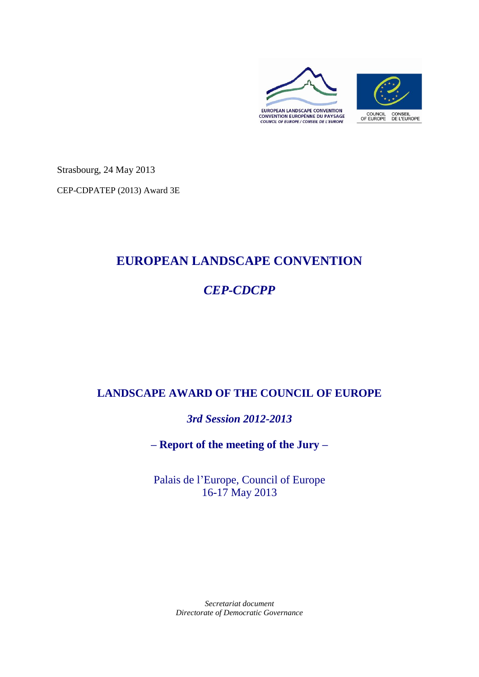

Strasbourg, 24 May 2013

CEP-CDPATEP (2013) Award 3E

# **EUROPEAN LANDSCAPE CONVENTION**

# *CEP-CDCPP*

# **LANDSCAPE AWARD OF THE COUNCIL OF EUROPE**

*3rd Session 2012-2013*

**– Report of the meeting of the Jury –**

Palais de l'Europe, Council of Europe 16-17 May 2013

> *Secretariat document Directorate of Democratic Governance*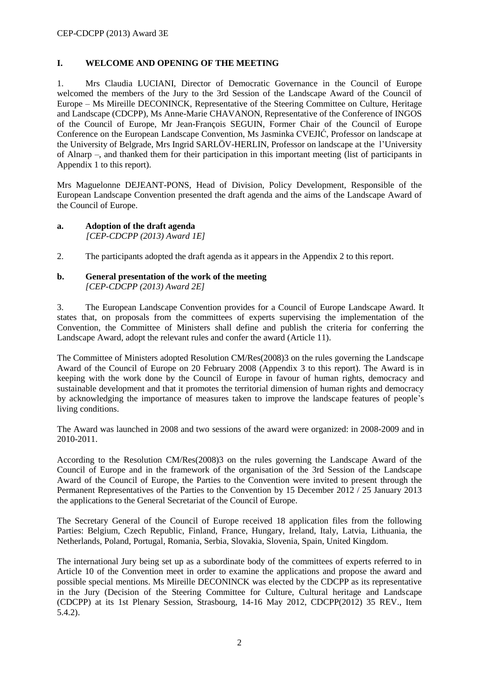# **I. WELCOME AND OPENING OF THE MEETING**

1. Mrs Claudia LUCIANI, Director of Democratic Governance in the Council of Europe welcomed the members of the Jury to the 3rd Session of the Landscape Award of the Council of Europe – Ms Mireille DECONINCK, Representative of the Steering Committee on Culture, Heritage and Landscape (CDCPP), Ms Anne-Marie CHAVANON, Representative of the Conference of INGOS of the Council of Europe, Mr Jean-François SEGUIN, Former Chair of the Council of Europe Conference on the European Landscape Convention, Ms Jasminka CVEJIĆ, Professor on landscape at the University of Belgrade, Mrs Ingrid SARLÖV-HERLIN, Professor on landscape at the l'University of Alnarp –, and thanked them for their participation in this important meeting (list of participants in Appendix 1 to this report).

Mrs Maguelonne DEJEANT-PONS, Head of Division, Policy Development, Responsible of the European Landscape Convention presented the draft agenda and the aims of the Landscape Award of the Council of Europe.

#### **a. Adoption of the draft agenda**  *[CEP-CDCPP (2013) Award 1E]*

2. The participants adopted the draft agenda as it appears in the Appendix 2 to this report.

#### **b. General presentation of the work of the meeting**  *[CEP-CDCPP (2013) Award 2E]*

3. The European Landscape Convention provides for a Council of Europe Landscape Award. It states that, on proposals from the committees of experts supervising the implementation of the Convention, the Committee of Ministers shall define and publish the criteria for conferring the Landscape Award, adopt the relevant rules and confer the award (Article 11).

The Committee of Ministers adopted Resolution CM/Res(2008)3 on the rules governing the Landscape Award of the Council of Europe on 20 February 2008 (Appendix 3 to this report). The Award is in keeping with the work done by the Council of Europe in favour of human rights, democracy and sustainable development and that it promotes the territorial dimension of human rights and democracy by acknowledging the importance of measures taken to improve the landscape features of people's living conditions.

The Award was launched in 2008 and two sessions of the award were organized: in 2008-2009 and in 2010-2011.

According to the Resolution CM/Res(2008)3 on the rules governing the Landscape Award of the Council of Europe and in the framework of the organisation of the 3rd Session of the Landscape Award of the Council of Europe, the Parties to the Convention were invited to present through the Permanent Representatives of the Parties to the Convention by 15 December 2012 / 25 January 2013 the applications to the General Secretariat of the Council of Europe.

The Secretary General of the Council of Europe received 18 application files from the following Parties: Belgium, Czech Republic, Finland, France, Hungary, Ireland, Italy, Latvia, Lithuania, the Netherlands, Poland, Portugal, Romania, Serbia, Slovakia, Slovenia, Spain, United Kingdom.

The international Jury being set up as a subordinate body of the committees of experts referred to in Article 10 of the Convention meet in order to examine the applications and propose the award and possible special mentions. Ms Mireille DECONINCK was elected by the CDCPP as its representative in the Jury (Decision of the Steering Committee for Culture, Cultural heritage and Landscape (CDCPP) at its 1st Plenary Session, Strasbourg, 14-16 May 2012, CDCPP(2012) 35 REV., Item 5.4.2).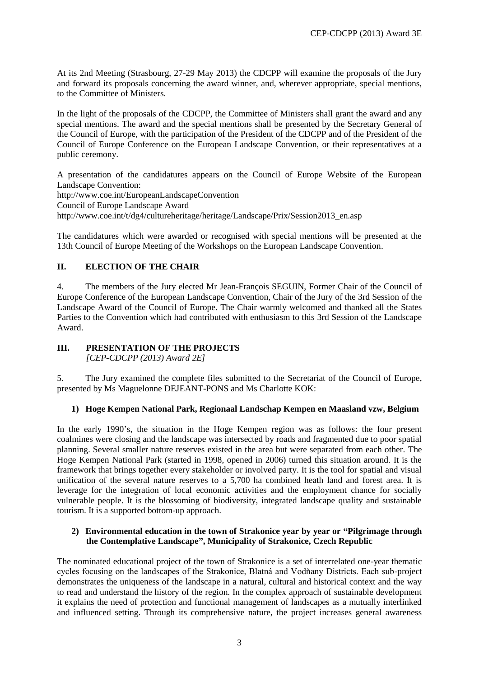At its 2nd Meeting (Strasbourg, 27-29 May 2013) the CDCPP will examine the proposals of the Jury and forward its proposals concerning the award winner, and, wherever appropriate, special mentions, to the Committee of Ministers.

In the light of the proposals of the CDCPP, the Committee of Ministers shall grant the award and any special mentions. The award and the special mentions shall be presented by the Secretary General of the Council of Europe, with the participation of the President of the CDCPP and of the President of the Council of Europe Conference on the European Landscape Convention, or their representatives at a public ceremony.

A presentation of the candidatures appears on the Council of Europe Website of the European Landscape Convention:

<http://www.coe.int/EuropeanLandscapeConvention>

Council of Europe Landscape Award

http://www.coe.int/t/dg4/cultureheritage/heritage/Landscape/Prix/Session2013\_en.asp

The candidatures which were awarded or recognised with special mentions will be presented at the 13th Council of Europe Meeting of the Workshops on the European Landscape Convention.

# **II. ELECTION OF THE CHAIR**

4. The members of the Jury elected Mr Jean-François SEGUIN, Former Chair of the Council of Europe Conference of the European Landscape Convention, Chair of the Jury of the 3rd Session of the Landscape Award of the Council of Europe. The Chair warmly welcomed and thanked all the States Parties to the Convention which had contributed with enthusiasm to this 3rd Session of the Landscape Award.

# **III. PRESENTATION OF THE PROJECTS**

*[CEP-CDCPP (2013) Award 2E]*

5. The Jury examined the complete files submitted to the Secretariat of the Council of Europe, presented by Ms Maguelonne DEJEANT-PONS and Ms Charlotte KOK:

# **1) Hoge Kempen National Park, Regionaal Landschap Kempen en Maasland vzw, Belgium**

In the early 1990's, the situation in the Hoge Kempen region was as follows: the four present coalmines were closing and the landscape was intersected by roads and fragmented due to poor spatial planning. Several smaller nature reserves existed in the area but were separated from each other. The Hoge Kempen National Park (started in 1998, opened in 2006) turned this situation around. It is the framework that brings together every stakeholder or involved party. It is the tool for spatial and visual unification of the several nature reserves to a 5,700 ha combined heath land and forest area. It is leverage for the integration of local economic activities and the employment chance for socially vulnerable people. It is the blossoming of biodiversity, integrated landscape quality and sustainable tourism. It is a supported bottom-up approach.

# **2) Environmental education in the town of Strakonice year by year or "Pilgrimage through the Contemplative Landscape", Municipality of Strakonice, Czech Republic**

The nominated educational project of the town of Strakonice is a set of interrelated one-year thematic cycles focusing on the landscapes of the Strakonice, Blatná and Vodňany Districts. Each sub-project demonstrates the uniqueness of the landscape in a natural, cultural and historical context and the way to read and understand the history of the region. In the complex approach of sustainable development it explains the need of protection and functional management of landscapes as a mutually interlinked and influenced setting. Through its comprehensive nature, the project increases general awareness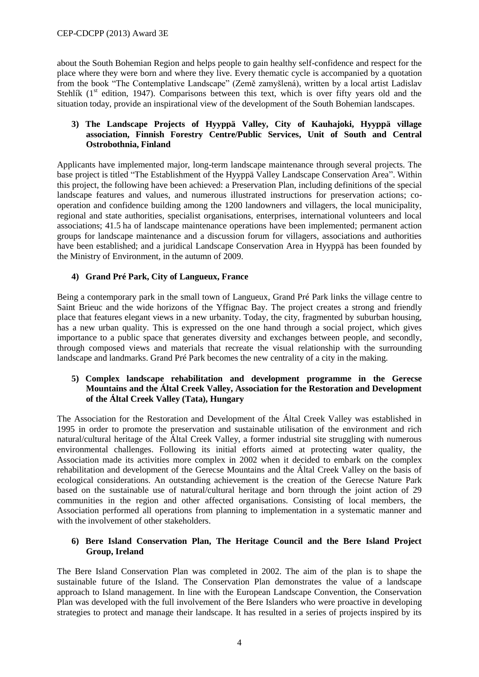about the South Bohemian Region and helps people to gain healthy self-confidence and respect for the place where they were born and where they live. Every thematic cycle is accompanied by a quotation from the book "The Contemplative Landscape" (Země zamyšlená), written by a local artist Ladislav Stehlík  $(1<sup>st</sup>$  edition, 1947). Comparisons between this text, which is over fifty years old and the situation today, provide an inspirational view of the development of the South Bohemian landscapes.

# **3) The Landscape Projects of Hyyppä Valley, City of Kauhajoki, Hyyppä village association, Finnish Forestry Centre/Public Services, Unit of South and Central Ostrobothnia, Finland**

Applicants have implemented major, long-term landscape maintenance through several projects. The base project is titled "The Establishment of the Hyyppä Valley Landscape Conservation Area". Within this project, the following have been achieved: a Preservation Plan, including definitions of the special landscape features and values, and numerous illustrated instructions for preservation actions; cooperation and confidence building among the 1200 landowners and villagers, the local municipality, regional and state authorities, specialist organisations, enterprises, international volunteers and local associations; 41.5 ha of landscape maintenance operations have been implemented; permanent action groups for landscape maintenance and a discussion forum for villagers, associations and authorities have been established; and a juridical Landscape Conservation Area in Hyyppä has been founded by the Ministry of Environment, in the autumn of 2009.

# **4) Grand Pré Park, City of Langueux, France**

Being a contemporary park in the small town of Langueux, Grand Pré Park links the village centre to Saint Brieuc and the wide horizons of the Yffignac Bay. The project creates a strong and friendly place that features elegant views in a new urbanity. Today, the city, fragmented by suburban housing, has a new urban quality. This is expressed on the one hand through a social project, which gives importance to a public space that generates diversity and exchanges between people, and secondly, through composed views and materials that recreate the visual relationship with the surrounding landscape and landmarks. Grand Pré Park becomes the new centrality of a city in the making.

# **5) Complex landscape rehabilitation and development programme in the Gerecse Mountains and the Által Creek Valley, Association for the Restoration and Development of the Által Creek Valley (Tata), Hungary**

The Association for the Restoration and Development of the Által Creek Valley was established in 1995 in order to promote the preservation and sustainable utilisation of the environment and rich natural/cultural heritage of the Által Creek Valley, a former industrial site struggling with numerous environmental challenges. Following its initial efforts aimed at protecting water quality, the Association made its activities more complex in 2002 when it decided to embark on the complex rehabilitation and development of the Gerecse Mountains and the Által Creek Valley on the basis of ecological considerations. An outstanding achievement is the creation of the Gerecse Nature Park based on the sustainable use of natural/cultural heritage and born through the joint action of 29 communities in the region and other affected organisations. Consisting of local members, the Association performed all operations from planning to implementation in a systematic manner and with the involvement of other stakeholders.

# **6) Bere Island Conservation Plan, The Heritage Council and the Bere Island Project Group, Ireland**

The Bere Island Conservation Plan was completed in 2002. The aim of the plan is to shape the sustainable future of the Island. The Conservation Plan demonstrates the value of a landscape approach to Island management. In line with the European Landscape Convention, the Conservation Plan was developed with the full involvement of the Bere Islanders who were proactive in developing strategies to protect and manage their landscape. It has resulted in a series of projects inspired by its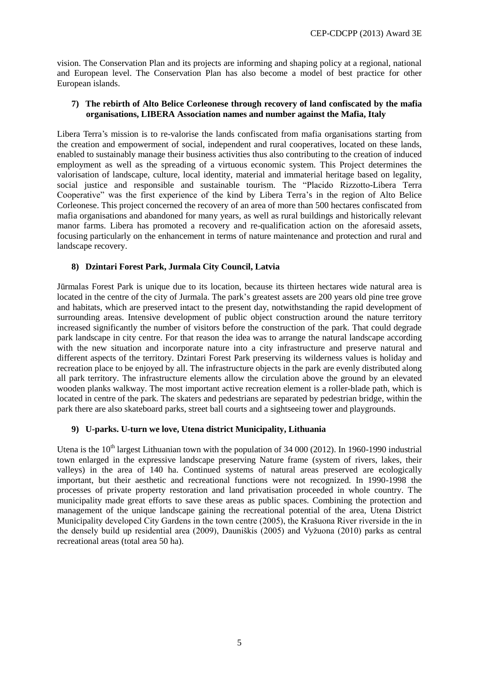vision. The Conservation Plan and its projects are informing and shaping policy at a regional, national and European level. The Conservation Plan has also become a model of best practice for other European islands.

# **7) The rebirth of Alto Belice Corleonese through recovery of land confiscated by the mafia organisations, LIBERA Association names and number against the Mafia, Italy**

Libera Terra's mission is to re-valorise the lands confiscated from mafia organisations starting from the creation and empowerment of social, independent and rural cooperatives, located on these lands, enabled to sustainably manage their business activities thus also contributing to the creation of induced employment as well as the spreading of a virtuous economic system. This Project determines the valorisation of landscape, culture, local identity, material and immaterial heritage based on legality, social justice and responsible and sustainable tourism. The "Placido Rizzotto-Libera Terra Cooperative" was the first experience of the kind by Libera Terra's in the region of Alto Belice Corleonese. This project concerned the recovery of an area of more than 500 hectares confiscated from mafia organisations and abandoned for many years, as well as rural buildings and historically relevant manor farms. Libera has promoted a recovery and re-qualification action on the aforesaid assets, focusing particularly on the enhancement in terms of nature maintenance and protection and rural and landscape recovery.

# **8) Dzintari Forest Park, Jurmala City Council, Latvia**

Jūrmalas Forest Park is unique due to its location, because its thirteen hectares wide natural area is located in the centre of the city of Jurmala. The park's greatest assets are 200 years old pine tree grove and habitats, which are preserved intact to the present day, notwithstanding the rapid development of surrounding areas. Intensive development of public object construction around the nature territory increased significantly the number of visitors before the construction of the park. That could degrade park landscape in city centre. For that reason the idea was to arrange the natural landscape according with the new situation and incorporate nature into a city infrastructure and preserve natural and different aspects of the territory. Dzintari Forest Park preserving its wilderness values is holiday and recreation place to be enjoyed by all. The infrastructure objects in the park are evenly distributed along all park territory. The infrastructure elements allow the circulation above the ground by an elevated wooden planks walkway. The most important active recreation element is a roller-blade path, which is located in centre of the park. The skaters and pedestrians are separated by pedestrian bridge, within the park there are also skateboard parks, street ball courts and a sightseeing tower and playgrounds.

#### **9) U-parks. U-turn we love, Utena district Municipality, Lithuania**

Utena is the  $10<sup>th</sup>$  largest Lithuanian town with the population of 34 000 (2012). In 1960-1990 industrial town enlarged in the expressive landscape preserving Nature frame (system of rivers, lakes, their valleys) in the area of 140 ha. Continued systems of natural areas preserved are ecologically important, but their aesthetic and recreational functions were not recognized. In 1990-1998 the processes of private property restoration and land privatisation proceeded in whole country. The municipality made great efforts to save these areas as public spaces. Combining the protection and management of the unique landscape gaining the recreational potential of the area, Utena District Municipality developed City Gardens in the town centre (2005), the Krašuona River riverside in the in the densely build up residential area (2009), Dauniškis (2005) and Vyžuona (2010) parks as central recreational areas (total area 50 ha).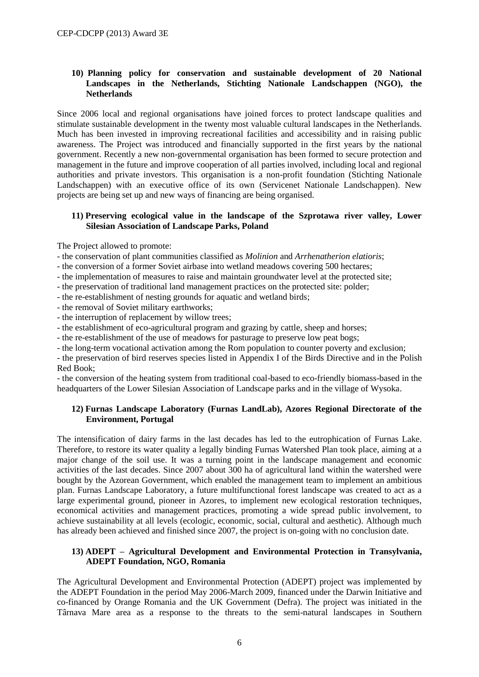# **10) Planning policy for conservation and sustainable development of 20 National Landscapes in the Netherlands, Stichting Nationale Landschappen (NGO), the Netherlands**

Since 2006 local and regional organisations have joined forces to protect landscape qualities and stimulate sustainable development in the twenty most valuable cultural landscapes in the Netherlands. Much has been invested in improving recreational facilities and accessibility and in raising public awareness. The Project was introduced and financially supported in the first years by the national government. Recently a new non-governmental organisation has been formed to secure protection and management in the future and improve cooperation of all parties involved, including local and regional authorities and private investors. This organisation is a non-profit foundation (Stichting Nationale Landschappen) with an executive office of its own (Servicenet Nationale Landschappen). New projects are being set up and new ways of financing are being organised.

# **11) Preserving ecological value in the landscape of the Szprotawa river valley, Lower Silesian Association of Landscape Parks, Poland**

The Project allowed to promote:

- the conservation of plant communities classified as *Molinion* and *Arrhenatherion elatioris*;
- the conversion of a former Soviet airbase into wetland meadows covering 500 hectares;
- the implementation of measures to raise and maintain groundwater level at the protected site;
- the preservation of traditional land management practices on the protected site: polder;
- the re-establishment of nesting grounds for aquatic and wetland birds;
- the removal of Soviet military earthworks;
- the interruption of replacement by willow trees;
- the establishment of eco-agricultural program and grazing by cattle, sheep and horses;
- the re-establishment of the use of meadows for pasturage to preserve low peat bogs;
- the long-term vocational activation among the Rom population to counter poverty and exclusion;

- the preservation of bird reserves species listed in Appendix I of the Birds Directive and in the Polish Red Book;

- the conversion of the heating system from traditional coal-based to eco-friendly biomass-based in the headquarters of the Lower Silesian Association of Landscape parks and in the village of Wysoka.

#### **12) Furnas Landscape Laboratory (Furnas LandLab), Azores Regional Directorate of the Environment, Portugal**

The intensification of dairy farms in the last decades has led to the eutrophication of Furnas Lake. Therefore, to restore its water quality a legally binding Furnas Watershed Plan took place, aiming at a major change of the soil use. It was a turning point in the landscape management and economic activities of the last decades. Since 2007 about 300 ha of agricultural land within the watershed were bought by the Azorean Government, which enabled the management team to implement an ambitious plan. Furnas Landscape Laboratory, a future multifunctional forest landscape was created to act as a large experimental ground, pioneer in Azores, to implement new ecological restoration techniques, economical activities and management practices, promoting a wide spread public involvement, to achieve sustainability at all levels (ecologic, economic, social, cultural and aesthetic). Although much has already been achieved and finished since 2007, the project is on-going with no conclusion date.

# **13) ADEPT – Agricultural Development and Environmental Protection in Transylvania, ADEPT Foundation, NGO, Romania**

The Agricultural Development and Environmental Protection (ADEPT) project was implemented by the ADEPT Foundation in the period May 2006-March 2009, financed under the Darwin Initiative and co-financed by Orange Romania and the UK Government (Defra). The project was initiated in the Târnava Mare area as a response to the threats to the semi-natural landscapes in Southern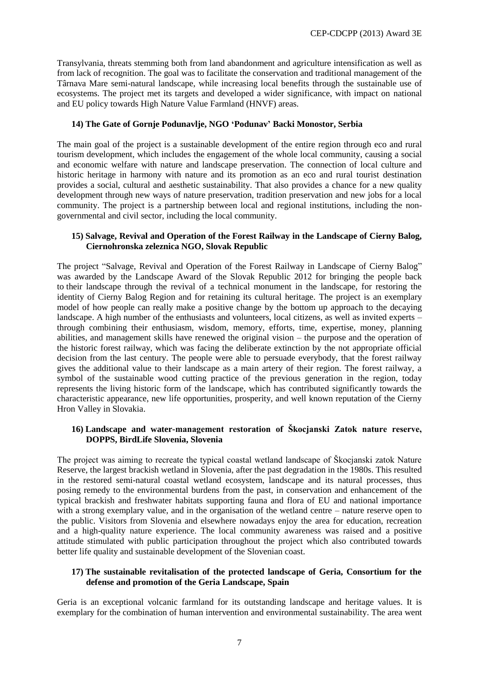Transylvania, threats stemming both from land abandonment and agriculture intensification as well as from lack of recognition. The goal was to facilitate the conservation and traditional management of the Târnava Mare semi-natural landscape, while increasing local benefits through the sustainable use of ecosystems. The project met its targets and developed a wider significance, with impact on national and EU policy towards High Nature Value Farmland (HNVF) areas.

# **14) The Gate of Gornje Podunavlje, NGO 'Podunav' Backi Monostor, Serbia**

The main goal of the project is a sustainable development of the entire region through eco and rural tourism development, which includes the engagement of the whole local community, causing a social and economic welfare with nature and landscape preservation. The connection of local culture and historic heritage in harmony with nature and its promotion as an eco and rural tourist destination provides a social, cultural and aesthetic sustainability. That also provides a chance for a new quality development through new ways of nature preservation, tradition preservation and new jobs for a local community. The project is a partnership between local and regional institutions, including the nongovernmental and civil sector, including the local community.

#### **15) Salvage, Revival and Operation of the Forest Railway in the Landscape of Cierny Balog, Ciernohronska zeleznica NGO, Slovak Republic**

The project "Salvage, Revival and Operation of the Forest Railway in Landscape of Cierny Balog" was awarded by the Landscape Award of the Slovak Republic 2012 for bringing the people back to their landscape through the revival of a technical monument in the landscape, for restoring the identity of Cierny Balog Region and for retaining its cultural heritage. The project is an exemplary model of how people can really make a positive change by the bottom up approach to the decaying landscape. A high number of the enthusiasts and volunteers, local citizens, as well as invited experts – through combining their enthusiasm, wisdom, memory, efforts, time, expertise, money, planning abilities, and management skills have renewed the original vision – the purpose and the operation of the historic forest railway, which was facing the deliberate extinction by the not appropriate official decision from the last century. The people were able to persuade everybody, that the forest railway gives the additional value to their landscape as a main artery of their region. The forest railway, a symbol of the sustainable wood cutting practice of the previous generation in the region, today represents the living historic form of the landscape, which has contributed significantly towards the characteristic appearance, new life opportunities, prosperity, and well known reputation of the Cierny Hron Valley in Slovakia.

# **16) Landscape and water-management restoration of Škocjanski Zatok nature reserve, DOPPS, BirdLife Slovenia, Slovenia**

The project was aiming to recreate the typical coastal wetland landscape of Škocjanski zatok Nature Reserve, the largest brackish wetland in Slovenia, after the past degradation in the 1980s. This resulted in the restored semi-natural coastal wetland ecosystem, landscape and its natural processes, thus posing remedy to the environmental burdens from the past, in conservation and enhancement of the typical brackish and freshwater habitats supporting fauna and flora of EU and national importance with a strong exemplary value, and in the organisation of the wetland centre – nature reserve open to the public. Visitors from Slovenia and elsewhere nowadays enjoy the area for education, recreation and a high-quality nature experience. The local community awareness was raised and a positive attitude stimulated with public participation throughout the project which also contributed towards better life quality and sustainable development of the Slovenian coast.

# **17) The sustainable revitalisation of the protected landscape of Geria, Consortium for the defense and promotion of the Geria Landscape, Spain**

Geria is an exceptional volcanic farmland for its outstanding landscape and heritage values. It is exemplary for the combination of human intervention and environmental sustainability. The area went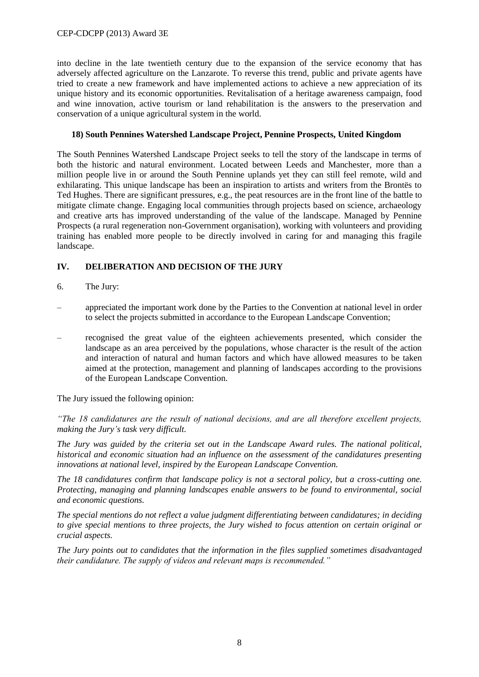### CEP-CDCPP (2013) Award 3E

into decline in the late twentieth century due to the expansion of the service economy that has adversely affected agriculture on the Lanzarote. To reverse this trend, public and private agents have tried to create a new framework and have implemented actions to achieve a new appreciation of its unique history and its economic opportunities. Revitalisation of a heritage awareness campaign, food and wine innovation, active tourism or land rehabilitation is the answers to the preservation and conservation of a unique agricultural system in the world.

# **18) South Pennines Watershed Landscape Project, Pennine Prospects, United Kingdom**

The South Pennines Watershed Landscape Project seeks to tell the story of the landscape in terms of both the historic and natural environment. Located between Leeds and Manchester, more than a million people live in or around the South Pennine uplands yet they can still feel remote, wild and exhilarating. This unique landscape has been an inspiration to artists and writers from the Brontës to Ted Hughes. There are significant pressures, e.g., the peat resources are in the front line of the battle to mitigate climate change. Engaging local communities through projects based on science, archaeology and creative arts has improved understanding of the value of the landscape. Managed by Pennine Prospects (a rural regeneration non-Government organisation), working with volunteers and providing training has enabled more people to be directly involved in caring for and managing this fragile landscape.

# **IV. DELIBERATION AND DECISION OF THE JURY**

- 6. The Jury:
- appreciated the important work done by the Parties to the Convention at national level in order to select the projects submitted in accordance to the European Landscape Convention;
- recognised the great value of the eighteen achievements presented, which consider the landscape as an area perceived by the populations, whose character is the result of the action and interaction of natural and human factors and which have allowed measures to be taken aimed at the protection, management and planning of landscapes according to the provisions of the European Landscape Convention.

The Jury issued the following opinion:

*"The 18 candidatures are the result of national decisions, and are all therefore excellent projects, making the Jury's task very difficult.*

*The Jury was guided by the criteria set out in the Landscape Award rules. The national political, historical and economic situation had an influence on the assessment of the candidatures presenting innovations at national level, inspired by the European Landscape Convention.*

*The 18 candidatures confirm that landscape policy is not a sectoral policy, but a cross-cutting one. Protecting, managing and planning landscapes enable answers to be found to environmental, social and economic questions.*

*The special mentions do not reflect a value judgment differentiating between candidatures; in deciding to give special mentions to three projects, the Jury wished to focus attention on certain original or crucial aspects.*

*The Jury points out to candidates that the information in the files supplied sometimes disadvantaged their candidature. The supply of videos and relevant maps is recommended."*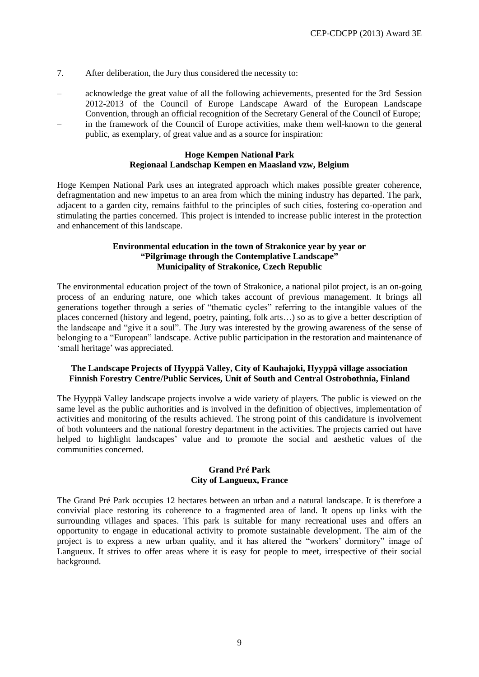- 7. After deliberation, the Jury thus considered the necessity to:
- acknowledge the great value of all the following achievements, presented for the 3rd Session 2012-2013 of the Council of Europe Landscape Award of the European Landscape Convention, through an official recognition of the Secretary General of the Council of Europe; – in the framework of the Council of Europe activities, make them well-known to the general
- public, as exemplary, of great value and as a source for inspiration:

#### **Hoge Kempen National Park Regionaal Landschap Kempen en Maasland vzw, Belgium**

Hoge Kempen National Park uses an integrated approach which makes possible greater coherence, defragmentation and new impetus to an area from which the mining industry has departed. The park, adjacent to a garden city, remains faithful to the principles of such cities, fostering co-operation and stimulating the parties concerned. This project is intended to increase public interest in the protection and enhancement of this landscape.

# **Environmental education in the town of Strakonice year by year or "Pilgrimage through the Contemplative Landscape" Municipality of Strakonice, Czech Republic**

The environmental education project of the town of Strakonice, a national pilot project, is an on-going process of an enduring nature, one which takes account of previous management. It brings all generations together through a series of "thematic cycles" referring to the intangible values of the places concerned (history and legend, poetry, painting, folk arts…) so as to give a better description of the landscape and "give it a soul". The Jury was interested by the growing awareness of the sense of belonging to a "European" landscape. Active public participation in the restoration and maintenance of 'small heritage' was appreciated.

# **The Landscape Projects of Hyyppä Valley, City of Kauhajoki, Hyyppä village association Finnish Forestry Centre/Public Services, Unit of South and Central Ostrobothnia, Finland**

The Hyyppä Valley landscape projects involve a wide variety of players. The public is viewed on the same level as the public authorities and is involved in the definition of objectives, implementation of activities and monitoring of the results achieved. The strong point of this candidature is involvement of both volunteers and the national forestry department in the activities. The projects carried out have helped to highlight landscapes' value and to promote the social and aesthetic values of the communities concerned.

#### **Grand Pré Park City of Langueux, France**

The Grand Pré Park occupies 12 hectares between an urban and a natural landscape. It is therefore a convivial place restoring its coherence to a fragmented area of land. It opens up links with the surrounding villages and spaces. This park is suitable for many recreational uses and offers an opportunity to engage in educational activity to promote sustainable development. The aim of the project is to express a new urban quality, and it has altered the "workers' dormitory" image of Langueux. It strives to offer areas where it is easy for people to meet, irrespective of their social background.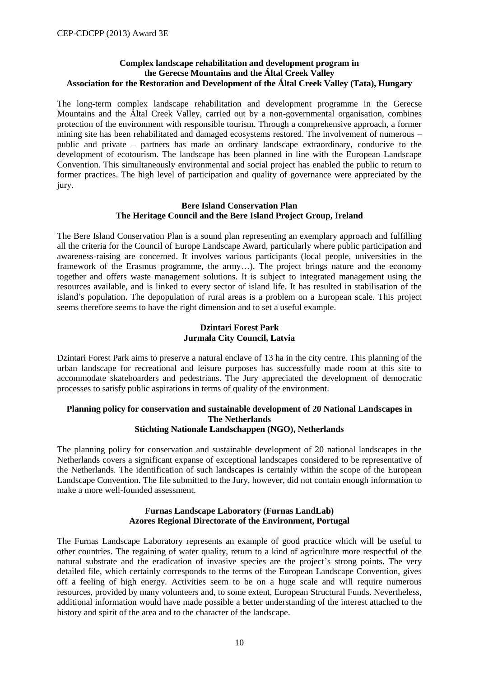# **Complex landscape rehabilitation and development program in the Gerecse Mountains and the Által Creek Valley Association for the Restoration and Development of the Által Creek Valley (Tata), Hungary**

The long-term complex landscape rehabilitation and development programme in the Gerecse Mountains and the Által Creek Valley, carried out by a non-governmental organisation, combines protection of the environment with responsible tourism. Through a comprehensive approach, a former mining site has been rehabilitated and damaged ecosystems restored. The involvement of numerous – public and private – partners has made an ordinary landscape extraordinary, conducive to the development of ecotourism. The landscape has been planned in line with the European Landscape Convention. This simultaneously environmental and social project has enabled the public to return to former practices. The high level of participation and quality of governance were appreciated by the jury.

#### **Bere Island Conservation Plan The Heritage Council and the Bere Island Project Group, Ireland**

The Bere Island Conservation Plan is a sound plan representing an exemplary approach and fulfilling all the criteria for the Council of Europe Landscape Award, particularly where public participation and awareness-raising are concerned. It involves various participants (local people, universities in the framework of the Erasmus programme, the army…). The project brings nature and the economy together and offers waste management solutions. It is subject to integrated management using the resources available, and is linked to every sector of island life. It has resulted in stabilisation of the island's population. The depopulation of rural areas is a problem on a European scale. This project seems therefore seems to have the right dimension and to set a useful example.

#### **Dzintari Forest Park Jurmala City Council, Latvia**

Dzintari Forest Park aims to preserve a natural enclave of 13 ha in the city centre. This planning of the urban landscape for recreational and leisure purposes has successfully made room at this site to accommodate skateboarders and pedestrians. The Jury appreciated the development of democratic processes to satisfy public aspirations in terms of quality of the environment.

#### **Planning policy for conservation and sustainable development of 20 National Landscapes in The Netherlands Stichting Nationale Landschappen (NGO), Netherlands**

The planning policy for conservation and sustainable development of 20 national landscapes in the Netherlands covers a significant expanse of exceptional landscapes considered to be representative of the Netherlands. The identification of such landscapes is certainly within the scope of the European Landscape Convention. The file submitted to the Jury, however, did not contain enough information to make a more well-founded assessment.

#### **Furnas Landscape Laboratory (Furnas LandLab) Azores Regional Directorate of the Environment, Portugal**

The Furnas Landscape Laboratory represents an example of good practice which will be useful to other countries. The regaining of water quality, return to a kind of agriculture more respectful of the natural substrate and the eradication of invasive species are the project's strong points. The very detailed file, which certainly corresponds to the terms of the European Landscape Convention, gives off a feeling of high energy. Activities seem to be on a huge scale and will require numerous resources, provided by many volunteers and, to some extent, European Structural Funds. Nevertheless, additional information would have made possible a better understanding of the interest attached to the history and spirit of the area and to the character of the landscape.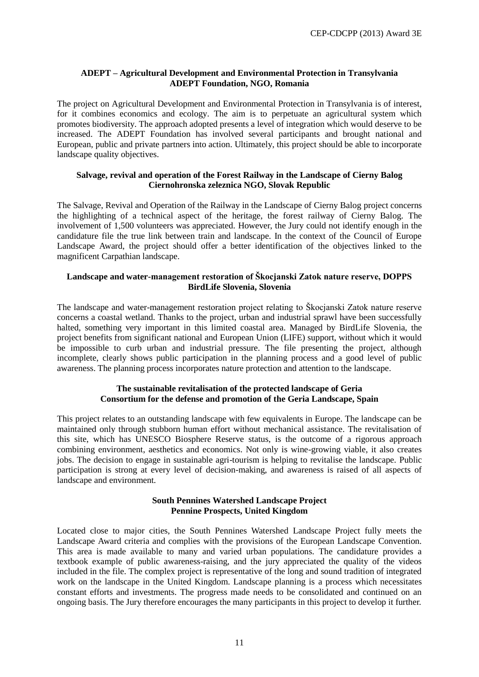# **ADEPT – Agricultural Development and Environmental Protection in Transylvania ADEPT Foundation, NGO, Romania**

The project on Agricultural Development and Environmental Protection in Transylvania is of interest, for it combines economics and ecology. The aim is to perpetuate an agricultural system which promotes biodiversity. The approach adopted presents a level of integration which would deserve to be increased. The ADEPT Foundation has involved several participants and brought national and European, public and private partners into action. Ultimately, this project should be able to incorporate landscape quality objectives.

# **Salvage, revival and operation of the Forest Railway in the Landscape of Cierny Balog Ciernohronska zeleznica NGO, Slovak Republic**

The Salvage, Revival and Operation of the Railway in the Landscape of Cierny Balog project concerns the highlighting of a technical aspect of the heritage, the forest railway of Cierny Balog. The involvement of 1,500 volunteers was appreciated. However, the Jury could not identify enough in the candidature file the true link between train and landscape. In the context of the Council of Europe Landscape Award, the project should offer a better identification of the objectives linked to the magnificent Carpathian landscape.

# **Landscape and water-management restoration of Škocjanski Zatok nature reserve, DOPPS BirdLife Slovenia, Slovenia**

The landscape and water-management restoration project relating to Škocjanski Zatok nature reserve concerns a coastal wetland. Thanks to the project, urban and industrial sprawl have been successfully halted, something very important in this limited coastal area. Managed by BirdLife Slovenia, the project benefits from significant national and European Union (LIFE) support, without which it would be impossible to curb urban and industrial pressure. The file presenting the project, although incomplete, clearly shows public participation in the planning process and a good level of public awareness. The planning process incorporates nature protection and attention to the landscape.

#### **The sustainable revitalisation of the protected landscape of Geria Consortium for the defense and promotion of the Geria Landscape, Spain**

This project relates to an outstanding landscape with few equivalents in Europe. The landscape can be maintained only through stubborn human effort without mechanical assistance. The revitalisation of this site, which has UNESCO Biosphere Reserve status, is the outcome of a rigorous approach combining environment, aesthetics and economics. Not only is wine-growing viable, it also creates jobs. The decision to engage in sustainable agri-tourism is helping to revitalise the landscape. Public participation is strong at every level of decision-making, and awareness is raised of all aspects of landscape and environment.

#### **South Pennines Watershed Landscape Project Pennine Prospects, United Kingdom**

Located close to major cities, the South Pennines Watershed Landscape Project fully meets the Landscape Award criteria and complies with the provisions of the European Landscape Convention. This area is made available to many and varied urban populations. The candidature provides a textbook example of public awareness-raising, and the jury appreciated the quality of the videos included in the file. The complex project is representative of the long and sound tradition of integrated work on the landscape in the United Kingdom. Landscape planning is a process which necessitates constant efforts and investments. The progress made needs to be consolidated and continued on an ongoing basis. The Jury therefore encourages the many participants in this project to develop it further.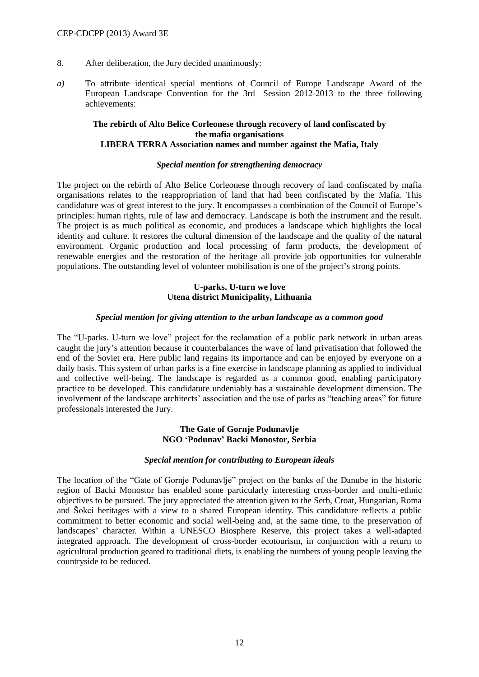- 8. After deliberation, the Jury decided unanimously:
- *a)* To attribute identical special mentions of Council of Europe Landscape Award of the European Landscape Convention for the 3rd Session 2012-2013 to the three following achievements:

#### **The rebirth of Alto Belice Corleonese through recovery of land confiscated by the mafia organisations LIBERA TERRA Association names and number against the Mafia, Italy**

#### *Special mention for strengthening democracy*

The project on the rebirth of Alto Belice Corleonese through recovery of land confiscated by mafia organisations relates to the reappropriation of land that had been confiscated by the Mafia. This candidature was of great interest to the jury. It encompasses a combination of the Council of Europe's principles: human rights, rule of law and democracy. Landscape is both the instrument and the result. The project is as much political as economic, and produces a landscape which highlights the local identity and culture. It restores the cultural dimension of the landscape and the quality of the natural environment. Organic production and local processing of farm products, the development of renewable energies and the restoration of the heritage all provide job opportunities for vulnerable populations. The outstanding level of volunteer mobilisation is one of the project's strong points.

# **U-parks. U-turn we love Utena district Municipality, Lithuania**

#### *Special mention for giving attention to the urban landscape as a common good*

The "U-parks. U-turn we love" project for the reclamation of a public park network in urban areas caught the jury's attention because it counterbalances the wave of land privatisation that followed the end of the Soviet era. Here public land regains its importance and can be enjoyed by everyone on a daily basis. This system of urban parks is a fine exercise in landscape planning as applied to individual and collective well-being. The landscape is regarded as a common good, enabling participatory practice to be developed. This candidature undeniably has a sustainable development dimension. The involvement of the landscape architects' association and the use of parks as "teaching areas" for future professionals interested the Jury.

#### **The Gate of Gornje Podunavlje NGO 'Podunav' Backi Monostor, Serbia**

#### *Special mention for contributing to European ideals*

The location of the "Gate of Gornje Podunavlje" project on the banks of the Danube in the historic region of Backi Monostor has enabled some particularly interesting cross-border and multi-ethnic objectives to be pursued. The jury appreciated the attention given to the Serb, Croat, Hungarian, Roma and Šokci heritages with a view to a shared European identity. This candidature reflects a public commitment to better economic and social well-being and, at the same time, to the preservation of landscapes' character. Within a UNESCO Biosphere Reserve, this project takes a well-adapted integrated approach. The development of cross-border ecotourism, in conjunction with a return to agricultural production geared to traditional diets, is enabling the numbers of young people leaving the countryside to be reduced.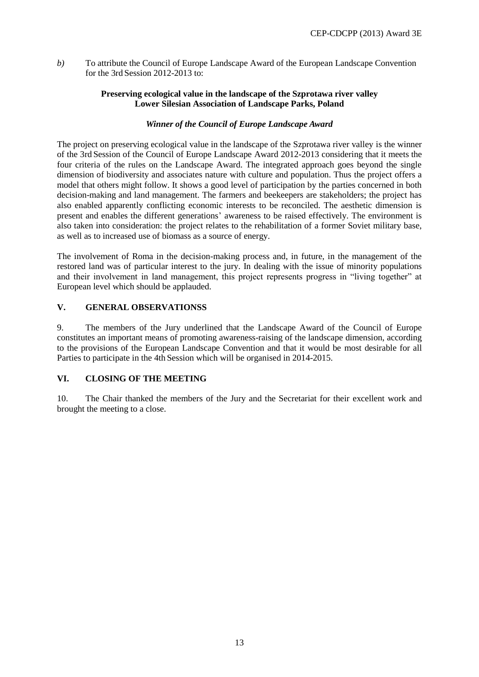*b)* To attribute the Council of Europe Landscape Award of the European Landscape Convention for the 3rd Session 2012-2013 to:

# **Preserving ecological value in the landscape of the Szprotawa river valley Lower Silesian Association of Landscape Parks, Poland**

# *Winner of the Council of Europe Landscape Award*

The project on preserving ecological value in the landscape of the Szprotawa river valley is the winner of the 3rd Session of the Council of Europe Landscape Award 2012-2013 considering that it meets the four criteria of the rules on the Landscape Award. The integrated approach goes beyond the single dimension of biodiversity and associates nature with culture and population. Thus the project offers a model that others might follow. It shows a good level of participation by the parties concerned in both decision-making and land management. The farmers and beekeepers are stakeholders; the project has also enabled apparently conflicting economic interests to be reconciled. The aesthetic dimension is present and enables the different generations' awareness to be raised effectively. The environment is also taken into consideration: the project relates to the rehabilitation of a former Soviet military base, as well as to increased use of biomass as a source of energy.

The involvement of Roma in the decision-making process and, in future, in the management of the restored land was of particular interest to the jury. In dealing with the issue of minority populations and their involvement in land management, this project represents progress in "living together" at European level which should be applauded.

# **V. GENERAL OBSERVATIONSS**

9. The members of the Jury underlined that the Landscape Award of the Council of Europe constitutes an important means of promoting awareness-raising of the landscape dimension, according to the provisions of the European Landscape Convention and that it would be most desirable for all Parties to participate in the 4th Session which will be organised in 2014-2015.

# **VI. CLOSING OF THE MEETING**

10. The Chair thanked the members of the Jury and the Secretariat for their excellent work and brought the meeting to a close.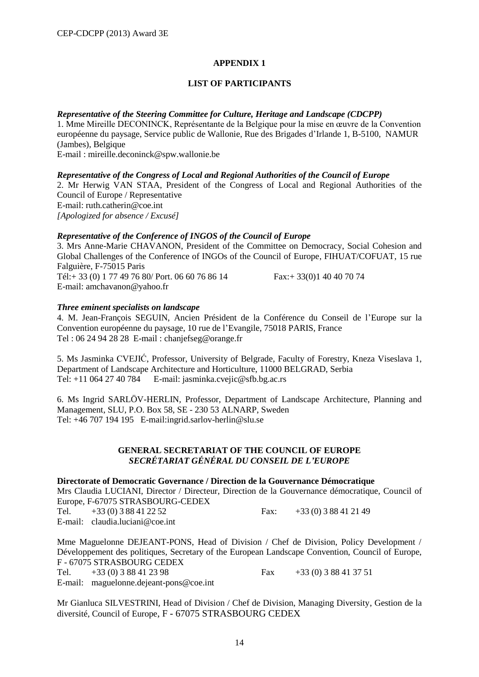# **APPENDIX 1**

# **LIST OF PARTICIPANTS**

# *Representative of the Steering Committee for Culture, Heritage and Landscape (CDCPP)*

1. Mme Mireille DECONINCK, Représentante de la Belgique pour la mise en œuvre de la Convention européenne du paysage, Service public de Wallonie, Rue des Brigades d'Irlande 1, B-5100, NAMUR (Jambes), Belgique

E-mail : [mireille.deconinck@spw.wallonie.be](mailto:mireille.deconinck@spw.wallonie.be)

# *Representative of the Congress of Local and Regional Authorities of the Council of Europe*

2. Mr Herwig VAN STAA, President of the Congress of Local and Regional Authorities of the Council of Europe / Representative E-mail: ruth.catherin@coe.int *[Apologized for absence / Excusé]*

#### *Representative of the Conference of INGOS of the Council of Europe*

3. Mrs Anne-Marie CHAVANON, President of the Committee on Democracy, Social Cohesion and Global Challenges of the Conference of INGOs of the Council of Europe, FIHUAT/COFUAT, 15 rue Falguière, F-75015 Paris

Tél:+ 33 (0) 1 77 49 76 80/ Port. 06 60 76 86 14 Fax:+ 33(0)1 40 40 70 74 E-mail: [amchavanon@yahoo.fr](mailto:amchavanon@yahoo.fr)

# *Three eminent specialists on landscape*

4. M. Jean-François SEGUIN, Ancien Président de la Conférence du Conseil de l'Europe sur la Convention européenne du paysage, 10 rue de l'Evangile, 75018 PARIS, France Tel : 06 24 94 28 28 E-mail : [chanjefseg@orange.fr](mailto:chanjefseg@orange.fr)

5. Ms Jasminka CVEJIĆ, Professor, University of Belgrade, Faculty of Forestry, Kneza Viseslava 1, Department of Landscape Architecture and Horticulture, 11000 BELGRAD, Serbia Tel: +11 064 27 40 784 E-mail: [jasminka.cvejic@sfb.bg.ac.rs](mailto:jasminka.cvejic@sfb.bg.ac.rs)

6. Ms Ingrid SARLÖV-HERLIN*,* Professor, Department of Landscape Architecture, Planning and Management, SLU, P.O. Box 58, SE - 230 53 ALNARP, Sweden Tel: +46 707 194 195 E-mail:ingrid.sarlov-herlin@slu.se

#### **GENERAL SECRETARIAT OF THE COUNCIL OF EUROPE** *SECRÉTARIAT GÉNÉRAL DU CONSEIL DE L'EUROPE*

**Directorate of Democratic Governance / Direction de la Gouvernance Démocratique**

Mrs Claudia LUCIANI, Director / Directeur, Direction de la Gouvernance démocratique, Council of Europe, F-67075 STRASBOURG-CEDEX

Tel.  $+33(0)388412252$  Fax:  $+33(0)388412149$ E-mail: claudia.luciani@coe.int

Mme Maguelonne DEJEANT-PONS, Head of Division / Chef de Division, Policy Development / Développement des politiques, Secretary of the European Landscape Convention, Council of Europe, F - 67075 STRASBOURG CEDEX

Tel.  $+33(0)388412398$  Fax  $+33(0)388413751$ 

E-mail: [maguelonne.dejeant-pons@coe.int](mailto:maguelonne.dejeant-pons@coe.int)

Mr Gianluca SILVESTRINI, Head of Division / Chef de Division, Managing Diversity, Gestion de la diversité, Council of Europe, F - 67075 STRASBOURG CEDEX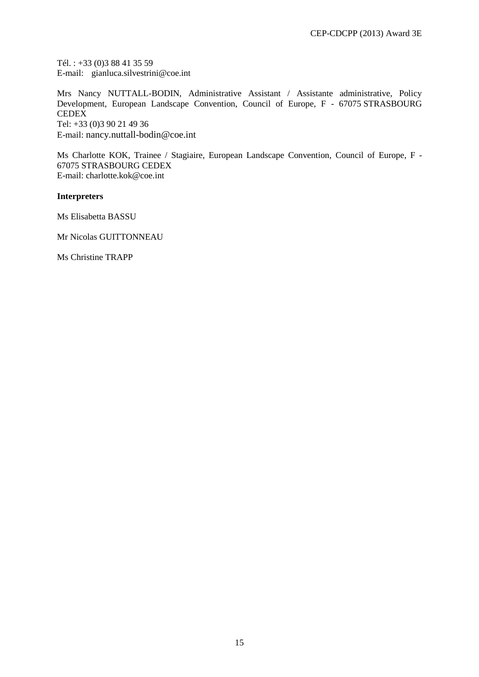Tél. : +33 (0)3 88 41 35 59 E-mail: gianluca.silvestrini@coe.int

Mrs Nancy NUTTALL-BODIN, Administrative Assistant / Assistante administrative, Policy Development, European Landscape Convention, Council of Europe, F - 67075 STRASBOURG **CEDEX** Tel: +33 (0)3 90 21 49 36 E-mail: [nancy.nuttall-bodin@coe.int](mailto:nancy.nuttall-bodin@coe.int)

Ms Charlotte KOK, Trainee / Stagiaire, European Landscape Convention, Council of Europe, F - 67075 STRASBOURG CEDEX E-mail: charlotte.kok@coe.int

# **Interpreters**

Ms Elisabetta BASSU

Mr Nicolas GUITTONNEAU

Ms Christine TRAPP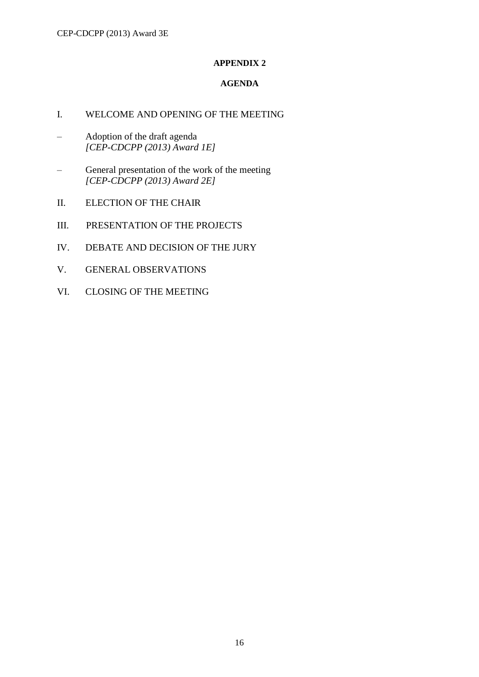# **APPENDIX 2**

# **AGENDA**

- I. WELCOME AND OPENING OF THE MEETING
- Adoption of the draft agenda *[CEP-CDCPP (2013) Award 1E]*
- General presentation of the work of the meeting *[CEP-CDCPP (2013) Award 2E]*
- II. ELECTION OF THE CHAIR
- III. PRESENTATION OF THE PROJECTS
- IV. DEBATE AND DECISION OF THE JURY
- V. GENERAL OBSERVATIONS
- VI. CLOSING OF THE MEETING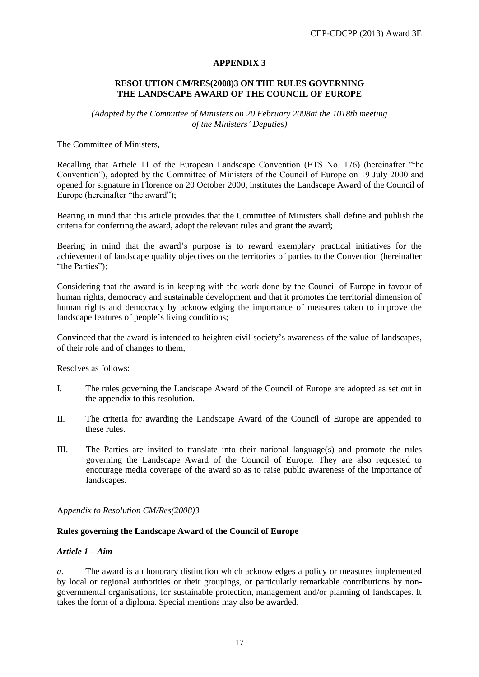# **APPENDIX 3**

# **RESOLUTION CM/RES(2008)3 ON THE RULES GOVERNING THE LANDSCAPE AWARD OF THE COUNCIL OF EUROPE**

*(Adopted by the Committee of Ministers on 20 February 2008at the 1018th meeting of the Ministers' Deputies)*

The Committee of Ministers,

Recalling that Article 11 of the European Landscape Convention (ETS No. 176) (hereinafter "the Convention"), adopted by the Committee of Ministers of the Council of Europe on 19 July 2000 and opened for signature in Florence on 20 October 2000, institutes the Landscape Award of the Council of Europe (hereinafter "the award");

Bearing in mind that this article provides that the Committee of Ministers shall define and publish the criteria for conferring the award, adopt the relevant rules and grant the award;

Bearing in mind that the award's purpose is to reward exemplary practical initiatives for the achievement of landscape quality objectives on the territories of parties to the Convention (hereinafter "the Parties");

Considering that the award is in keeping with the work done by the Council of Europe in favour of human rights, democracy and sustainable development and that it promotes the territorial dimension of human rights and democracy by acknowledging the importance of measures taken to improve the landscape features of people's living conditions;

Convinced that the award is intended to heighten civil society's awareness of the value of landscapes, of their role and of changes to them,

Resolves as follows:

- I. The rules governing the Landscape Award of the Council of Europe are adopted as set out in the appendix to this resolution.
- II. The criteria for awarding the Landscape Award of the Council of Europe are appended to these rules.
- III. The Parties are invited to translate into their national language(s) and promote the rules governing the Landscape Award of the Council of Europe. They are also requested to encourage media coverage of the award so as to raise public awareness of the importance of landscapes.

A*ppendix to Resolution CM/Res(2008)3*

#### **Rules governing the Landscape Award of the Council of Europe**

#### *Article 1 – Aim*

*a.* The award is an honorary distinction which acknowledges a policy or measures implemented by local or regional authorities or their groupings, or particularly remarkable contributions by nongovernmental organisations, for sustainable protection, management and/or planning of landscapes. It takes the form of a diploma. Special mentions may also be awarded.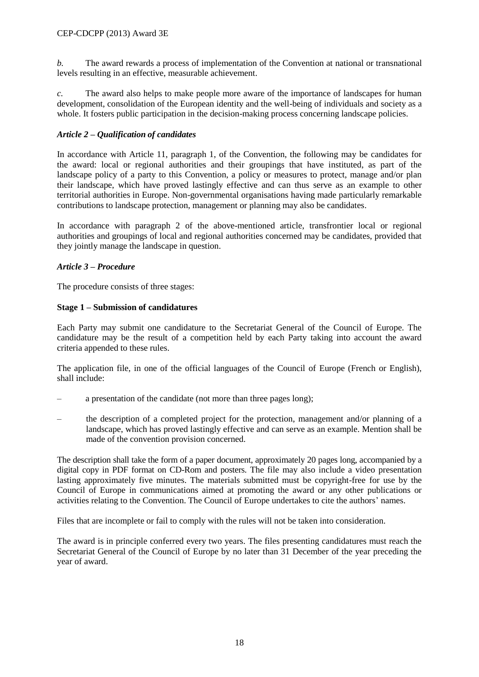*b.* The award rewards a process of implementation of the Convention at national or transnational levels resulting in an effective, measurable achievement.

*c.* The award also helps to make people more aware of the importance of landscapes for human development, consolidation of the European identity and the well-being of individuals and society as a whole. It fosters public participation in the decision-making process concerning landscape policies.

# *Article 2 – Qualification of candidates*

In accordance with Article 11, paragraph 1, of the Convention, the following may be candidates for the award: local or regional authorities and their groupings that have instituted, as part of the landscape policy of a party to this Convention, a policy or measures to protect, manage and/or plan their landscape, which have proved lastingly effective and can thus serve as an example to other territorial authorities in Europe. Non-governmental organisations having made particularly remarkable contributions to landscape protection, management or planning may also be candidates.

In accordance with paragraph 2 of the above-mentioned article, transfrontier local or regional authorities and groupings of local and regional authorities concerned may be candidates, provided that they jointly manage the landscape in question.

# *Article 3 – Procedure*

The procedure consists of three stages:

# **Stage 1** *–* **Submission of candidatures**

Each Party may submit one candidature to the Secretariat General of the Council of Europe. The candidature may be the result of a competition held by each Party taking into account the award criteria appended to these rules.

The application file, in one of the official languages of the Council of Europe (French or English), shall include:

- a presentation of the candidate (not more than three pages long);
- the description of a completed project for the protection, management and/or planning of a landscape, which has proved lastingly effective and can serve as an example. Mention shall be made of the convention provision concerned.

The description shall take the form of a paper document, approximately 20 pages long, accompanied by a digital copy in PDF format on CD-Rom and posters. The file may also include a video presentation lasting approximately five minutes. The materials submitted must be copyright-free for use by the Council of Europe in communications aimed at promoting the award or any other publications or activities relating to the Convention. The Council of Europe undertakes to cite the authors' names.

Files that are incomplete or fail to comply with the rules will not be taken into consideration.

The award is in principle conferred every two years. The files presenting candidatures must reach the Secretariat General of the Council of Europe by no later than 31 December of the year preceding the year of award.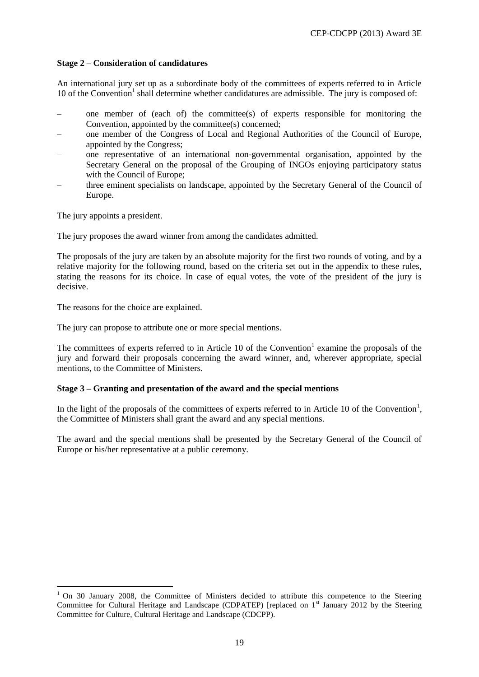# **Stage 2** *–* **Consideration of candidatures**

An international jury set up as a subordinate body of the committees of experts referred to in Article 10 of the Convention<sup>1</sup> shall determine whether candidatures are admissible. The jury is composed of:

- one member of (each of) the committee(s) of experts responsible for monitoring the Convention, appointed by the committee(s) concerned:
- one member of the Congress of Local and Regional Authorities of the Council of Europe, appointed by the Congress;
- one representative of an international non-governmental organisation, appointed by the Secretary General on the proposal of the Grouping of INGOs enjoying participatory status with the Council of Europe;
- three eminent specialists on landscape, appointed by the Secretary General of the Council of Europe.

The jury appoints a president.

 $\overline{a}$ 

The jury proposes the award winner from among the candidates admitted.

The proposals of the jury are taken by an absolute majority for the first two rounds of voting, and by a relative majority for the following round, based on the criteria set out in the appendix to these rules, stating the reasons for its choice. In case of equal votes, the vote of the president of the jury is decisive.

The reasons for the choice are explained.

The jury can propose to attribute one or more special mentions.

The committees of experts referred to in Article 10 of the Convention<sup>1</sup> examine the proposals of the jury and forward their proposals concerning the award winner, and, wherever appropriate, special mentions, to the Committee of Ministers.

#### **Stage 3** *–* **Granting and presentation of the award and the special mentions**

In the light of the proposals of the committees of experts referred to in Article 10 of the Convention<sup>1</sup>, the Committee of Ministers shall grant the award and any special mentions.

The award and the special mentions shall be presented by the Secretary General of the Council of Europe or his/her representative at a public ceremony.

 $1$  On 30 January 2008, the Committee of Ministers decided to attribute this competence to the Steering Committee for Cultural Heritage and Landscape (CDPATEP) [replaced on 1<sup>st</sup> January 2012 by the Steering Committee for Culture, Cultural Heritage and Landscape (CDCPP).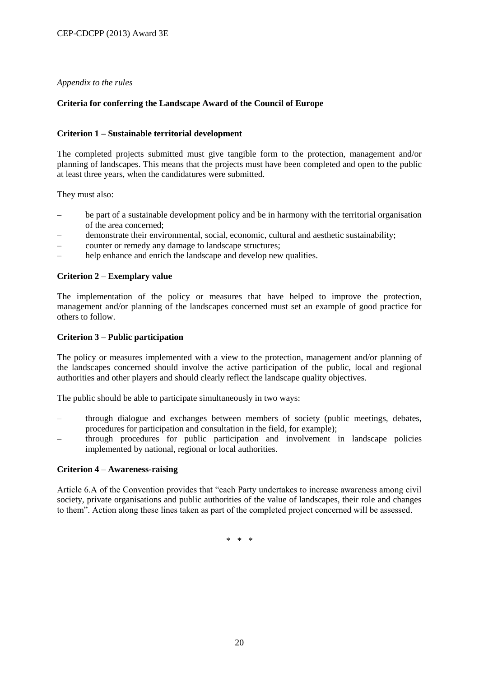# *Appendix to the rules*

# **Criteria for conferring the Landscape Award of the Council of Europe**

# **Criterion 1 – Sustainable territorial development**

The completed projects submitted must give tangible form to the protection, management and/or planning of landscapes. This means that the projects must have been completed and open to the public at least three years, when the candidatures were submitted.

They must also:

- be part of a sustainable development policy and be in harmony with the territorial organisation of the area concerned;
- demonstrate their environmental, social, economic, cultural and aesthetic sustainability;
- counter or remedy any damage to landscape structures;
- help enhance and enrich the landscape and develop new qualities.

# **Criterion 2** *–* **Exemplary value**

The implementation of the policy or measures that have helped to improve the protection, management and/or planning of the landscapes concerned must set an example of good practice for others to follow.

### **Criterion 3 – Public participation**

The policy or measures implemented with a view to the protection, management and/or planning of the landscapes concerned should involve the active participation of the public, local and regional authorities and other players and should clearly reflect the landscape quality objectives.

The public should be able to participate simultaneously in two ways:

- through dialogue and exchanges between members of society (public meetings, debates, procedures for participation and consultation in the field, for example);
- through procedures for public participation and involvement in landscape policies implemented by national, regional or local authorities.

#### **Criterion 4** *–* **Awareness-raising**

Article 6.A of the Convention provides that "each Party undertakes to increase awareness among civil society, private organisations and public authorities of the value of landscapes, their role and changes to them". Action along these lines taken as part of the completed project concerned will be assessed.

\* \* \*